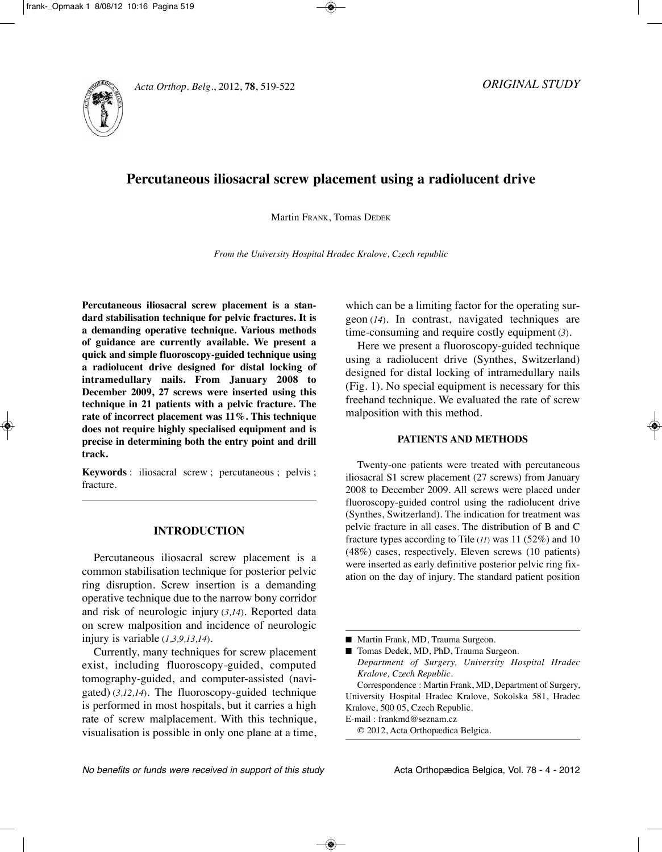# **Percutaneous iliosacral screw placement using a radiolucent drive**

Martin FRAnK, Tomas DEDEK

*From the University Hospital Hradec Kralove, Czech republic*

**Percutaneous iliosacral screw placement is a standard stabilisation technique for pelvic fractures. It is a demanding operative technique. Various methods of guidance are currently available. We present a quick and simple fluoroscopy-guided technique using a radiolucent drive designed for distal locking of intramedullary nails. From January 2008 to December 2009, 27 screws were inserted using this technique in 21 patients with a pelvic fracture. The rate of incorrect placement was 11%. This technique does not require highly specialised equipment and is precise in determining both the entry point and drill track.**

**Keywords** : iliosacral screw ; percutaneous ; pelvis ; fracture.

# **INTRODUCTION**

Percutaneous iliosacral screw placement is a common stabilisation technique for posterior pelvic ring disruption. Screw insertion is a demanding operative technique due to the narrow bony corridor and risk of neurologic injury (*3,14*). Reported data on screw malposition and incidence of neurologic injury is variable (*1,3,9,13,14*).

Currently, many techniques for screw placement exist, including fluoroscopy-guided, computed tomography-guided, and computer-assisted (navigated) (*3,12,14*). The fluoroscopy-guided technique is performed in most hospitals, but it carries a high rate of screw malplacement. With this technique, visualisation is possible in only one plane at a time, which can be a limiting factor for the operating surgeon (*14*). In contrast, navigated techniques are time-consuming and require costly equipment (*3*).

Here we present a fluoroscopy-guided technique using a radiolucent drive (Synthes, Switzerland) designed for distal locking of intramedullary nails (Fig. 1). no special equipment is necessary for this freehand technique. We evaluated the rate of screw malposition with this method.

# **PATIENTS AND METHODS**

Twenty-one patients were treated with percutaneous iliosacral S1 screw placement (27 screws) from January 2008 to December 2009. All screws were placed under fluoroscopy-guided control using the radiolucent drive (Synthes, Switzerland). The indication for treatment was pelvic fracture in all cases. The distribution of B and C fracture types according to Tile (*11*) was 11 (52%) and 10 (48%) cases, respectively. Eleven screws (10 patients) were inserted as early definitive posterior pelvic ring fixation on the day of injury. The standard patient position

■ Martin Frank, MD, Trauma Surgeon.

■ Tomas Dedek, MD, PhD, Trauma Surgeon.

*Department of Surgery, University Hospital Hradec Kralove, Czech Republic.*

Correspondence : Martin Frank, MD, Department of Surgery, University Hospital Hradec Kralove, Sokolska 581, Hradec Kralove, 500 05, Czech Republic.

E-mail : frankmd@seznam.cz

© 2012, Acta Orthopædica Belgica.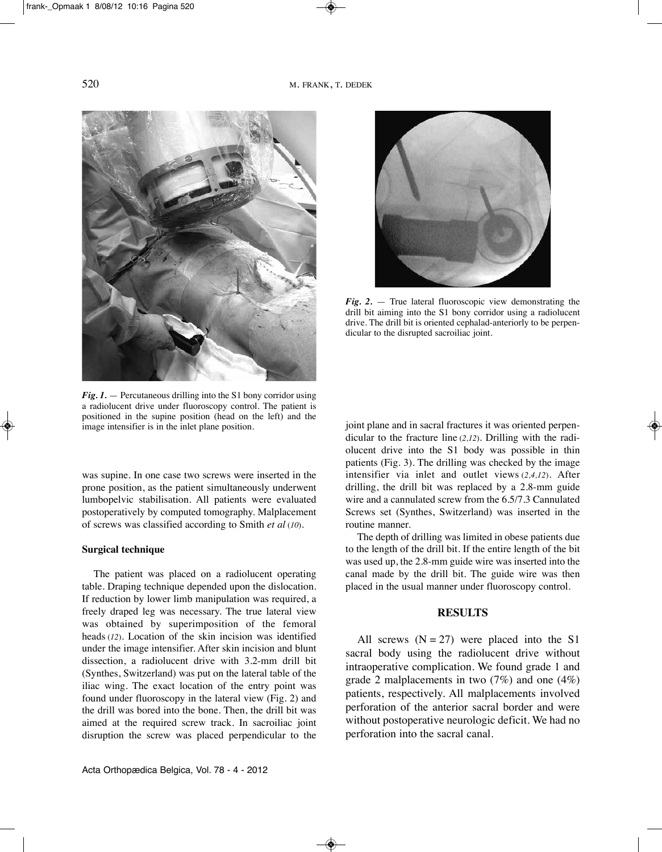

*Fig. 1.* — Percutaneous drilling into the S1 bony corridor using a radiolucent drive under fluoroscopy control. The patient is positioned in the supine position (head on the left) and the image intensifier is in the inlet plane position.

was supine. In one case two screws were inserted in the prone position, as the patient simultaneously underwent lumbopelvic stabilisation. All patients were evaluated postoperatively by computed tomography. Malplacement of screws was classified according to Smith *et al* (*10*).

#### **Surgical technique**

The patient was placed on a radiolucent operating table. Draping technique depended upon the dislocation. If reduction by lower limb manipulation was required, a freely draped leg was necessary. The true lateral view was obtained by superimposition of the femoral heads (*12*). Location of the skin incision was identified under the image intensifier. After skin incision and blunt dissection, a radiolucent drive with 3.2-mm drill bit (Synthes, Switzerland) was put on the lateral table of the iliac wing. The exact location of the entry point was found under fluoroscopy in the lateral view (Fig. 2) and the drill was bored into the bone. Then, the drill bit was aimed at the required screw track. In sacroiliac joint disruption the screw was placed perpendicular to the



*Fig. 2.* — True lateral fluoroscopic view demonstrating the drill bit aiming into the S1 bony corridor using a radiolucent drive. The drill bit is oriented cephalad-anteriorly to be perpendicular to the disrupted sacroiliac joint.

joint plane and in sacral fractures it was oriented perpendicular to the fracture line (*2,12*). Drilling with the radiolucent drive into the S1 body was possible in thin patients (Fig. 3). The drilling was checked by the image intensifier via inlet and outlet views (*2,4,12*). After drilling, the drill bit was replaced by a 2.8-mm guide wire and a cannulated screw from the 6.5/7.3 Cannulated Screws set (Synthes, Switzerland) was inserted in the routine manner.

The depth of drilling was limited in obese patients due to the length of the drill bit. If the entire length of the bit was used up, the 2.8-mm guide wire was inserted into the canal made by the drill bit. The guide wire was then placed in the usual manner under fluoroscopy control.

## **RESULTS**

All screws  $(N = 27)$  were placed into the S1 sacral body using the radiolucent drive without intraoperative complication. We found grade 1 and grade 2 malplacements in two (7%) and one (4%) patients, respectively. All malplacements involved perforation of the anterior sacral border and were without postoperative neurologic deficit. We had no perforation into the sacral canal.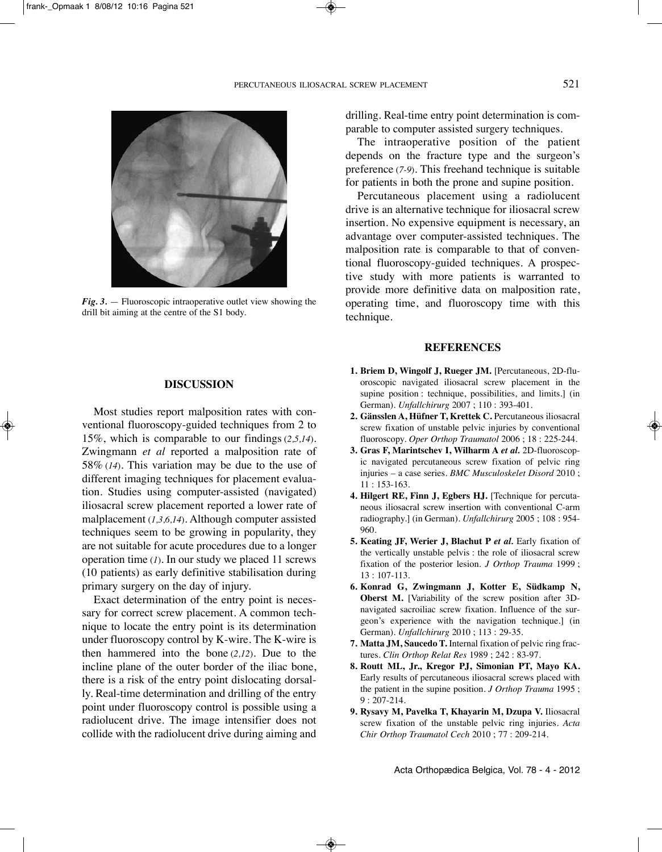

*Fig. 3.* — Fluoroscopic intraoperative outlet view showing the drill bit aiming at the centre of the S1 body.

### **DISCUSSION**

Most studies report malposition rates with conventional fluoroscopy-guided techniques from 2 to 15%, which is comparable to our findings (*2,5,14*). Zwingmann *et al* reported a malposition rate of 58% (*14*). This variation may be due to the use of different imaging techniques for placement evaluation. Studies using computer-assisted (navigated) iliosacral screw placement reported a lower rate of malplacement (*1,3,6,14*). Although computer assisted techniques seem to be growing in popularity, they are not suitable for acute procedures due to a longer operation time (*1*). In our study we placed 11 screws (10 patients) as early definitive stabilisation during primary surgery on the day of injury.

Exact determination of the entry point is necessary for correct screw placement. A common technique to locate the entry point is its determination under fluoroscopy control by K-wire. The K-wire is then hammered into the bone (*2,12*). Due to the incline plane of the outer border of the iliac bone, there is a risk of the entry point dislocating dorsally. Real-time determination and drilling of the entry point under fluoroscopy control is possible using a radiolucent drive. The image intensifier does not collide with the radiolucent drive during aiming and drilling. Real-time entry point determination is comparable to computer assisted surgery techniques.

The intraoperative position of the patient depends on the fracture type and the surgeon's preference (*7-9*). This freehand technique is suitable for patients in both the prone and supine position.

Percutaneous placement using a radiolucent drive is an alternative technique for iliosacral screw insertion. No expensive equipment is necessary, an advantage over computer-assisted techniques. The malposition rate is comparable to that of conventional fluoroscopy-guided techniques. A prospective study with more patients is warranted to provide more definitive data on malposition rate, operating time, and fluoroscopy time with this technique.

## **REFERENCES**

- **1. Briem D, Wingolf J, Rueger JM.** [Percutaneous, 2D-fluoroscopic navigated iliosacral screw placement in the supine position : technique, possibilities, and limits.] (in German). *Unfallchirurg* 2007 ; 110 : 393-401.
- **2. Gänsslen A, Hüfner T, Krettek C.** Percutaneous iliosacral screw fixation of unstable pelvic injuries by conventional fluoroscopy. *Oper Orthop Traumatol* 2006 ; 18 : 225-244.
- **3. Gras F, Marintschev I, Wilharm A** *et al.* 2D-fluoroscopic navigated percutaneous screw fixation of pelvic ring injuries – a case series. *BMC Musculoskelet Disord* 2010 ; 11 : 153-163.
- **4. Hilgert RE, Finn J, Egbers HJ.** [Technique for percutaneous iliosacral screw insertion with conventional C-arm radiography.] (in German). *Unfallchirurg* 2005 ; 108 : 954- 960.
- **5. Keating JF, Werier J, Blachut P** *et al.* Early fixation of the vertically unstable pelvis : the role of iliosacral screw fixation of the posterior lesion. *J Orthop Trauma* 1999 ; 13 : 107-113.
- **6. Konrad G, Zwingmann J, Kotter E, Südkamp N, Oberst M.** [Variability of the screw position after 3Dnavigated sacroiliac screw fixation. Influence of the surgeon's experience with the navigation technique.] (in German). *Unfallchirurg* 2010 ; 113 : 29-35.
- **7. Matta JM, Saucedo T.** Internal fixation of pelvic ring fractures. *Clin Orthop Relat Res* 1989 ; 242 : 83-97.
- **8. Routt ML, Jr., Kregor PJ, Simonian PT, Mayo KA.** Early results of percutaneous iliosacral screws placed with the patient in the supine position. *J Orthop Trauma* 1995 ; 9 : 207-214.
- **9. Rysavy M, Pavelka T, Khayarin M, Dzupa V.** Iliosacral screw fixation of the unstable pelvic ring injuries. *Acta Chir Orthop Traumatol Cech* 2010 ; 77 : 209-214.